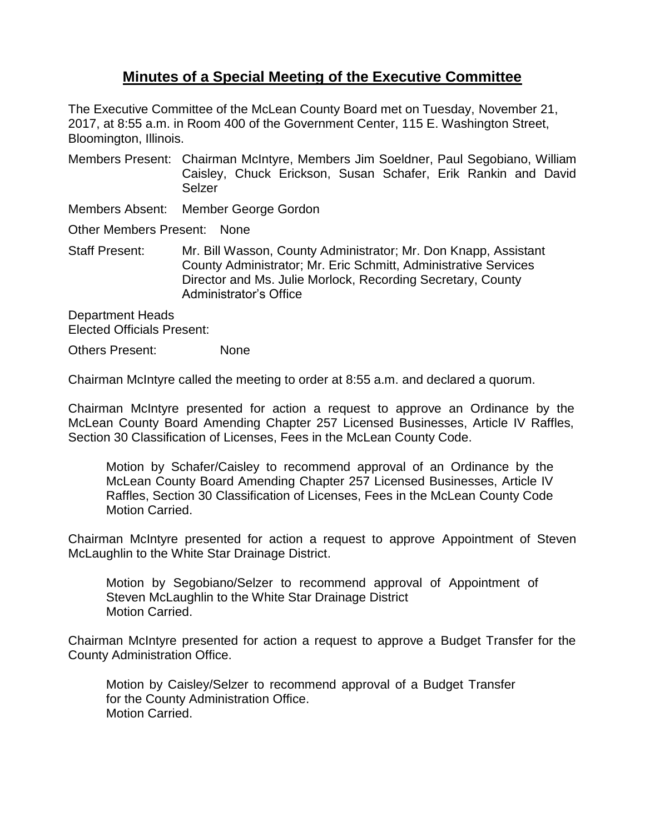## **Minutes of a Special Meeting of the Executive Committee**

The Executive Committee of the McLean County Board met on Tuesday, November 21, 2017, at 8:55 a.m. in Room 400 of the Government Center, 115 E. Washington Street, Bloomington, Illinois.

Members Present: Chairman McIntyre, Members Jim Soeldner, Paul Segobiano, William Caisley, Chuck Erickson, Susan Schafer, Erik Rankin and David Selzer

Members Absent: Member George Gordon

Other Members Present: None

Staff Present: Mr. Bill Wasson, County Administrator; Mr. Don Knapp, Assistant County Administrator; Mr. Eric Schmitt, Administrative Services Director and Ms. Julie Morlock, Recording Secretary, County Administrator's Office

Department Heads Elected Officials Present:

Others Present: None

Chairman McIntyre called the meeting to order at 8:55 a.m. and declared a quorum.

Chairman McIntyre presented for action a request to approve an Ordinance by the McLean County Board Amending Chapter 257 Licensed Businesses, Article IV Raffles, Section 30 Classification of Licenses, Fees in the McLean County Code.

Motion by Schafer/Caisley to recommend approval of an Ordinance by the McLean County Board Amending Chapter 257 Licensed Businesses, Article IV Raffles, Section 30 Classification of Licenses, Fees in the McLean County Code Motion Carried.

Chairman McIntyre presented for action a request to approve Appointment of Steven McLaughlin to the White Star Drainage District.

Motion by Segobiano/Selzer to recommend approval of Appointment of Steven McLaughlin to the White Star Drainage District Motion Carried.

Chairman McIntyre presented for action a request to approve a Budget Transfer for the County Administration Office.

Motion by Caisley/Selzer to recommend approval of a Budget Transfer for the County Administration Office. Motion Carried.